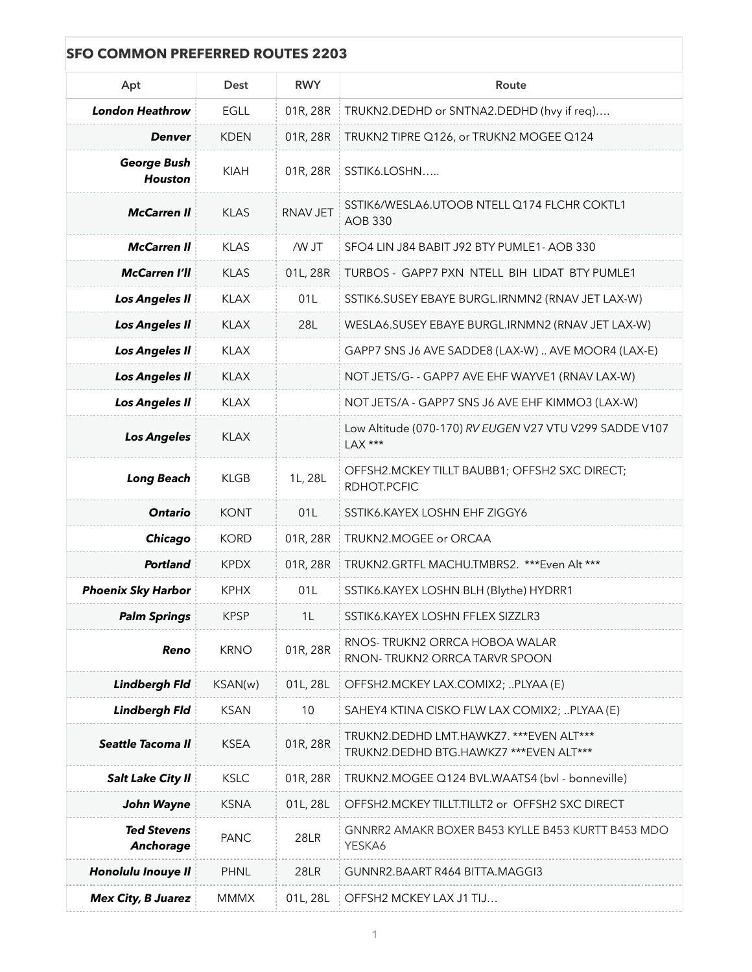| <b>SFO COMMON PREFERRED ROUTES 2203</b> |             |             |                                                                                    |  |  |
|-----------------------------------------|-------------|-------------|------------------------------------------------------------------------------------|--|--|
| Apt                                     | Dest        | <b>RWY</b>  | Route                                                                              |  |  |
| <b>London Heathrow</b>                  | <b>EGLL</b> | 01R, 28R    | TRUKN2.DEDHD or SNTNA2.DEDHD (hvy if req)                                          |  |  |
| <b>Denver</b>                           | <b>KDEN</b> | 01R, 28R    | TRUKN2 TIPRE Q126, or TRUKN2 MOGEE Q124                                            |  |  |
| <b>George Bush</b><br><b>Houston</b>    | <b>KIAH</b> | 01R, 28R    | SSTIK6.LOSHN                                                                       |  |  |
| <b>McCarren II</b>                      | <b>KLAS</b> | RNAV JET    | SSTIK6/WESLA6.UTOOB NTELL Q174 FLCHR COKTL1<br><b>AOB 330</b>                      |  |  |
| <b>McCarren II</b>                      | <b>KLAS</b> | /W JT       | SFO4 LIN J84 BABIT J92 BTY PUMLE1- AOB 330                                         |  |  |
| <b>McCarren I'll</b>                    | <b>KLAS</b> | 01L, 28R    | TURBOS - GAPP7 PXN NTELL BIH LIDAT BTY PUMLE1                                      |  |  |
| <b>Los Angeles II</b>                   | <b>KLAX</b> | 01L         | SSTIK6.SUSEY EBAYE BURGL.IRNMN2 (RNAV JET LAX-W)                                   |  |  |
| <b>Los Angeles II</b>                   | <b>KLAX</b> | 28L         | WESLA6.SUSEY EBAYE BURGL.IRNMN2 (RNAV JET LAX-W)                                   |  |  |
| <b>Los Angeles II</b>                   | <b>KLAX</b> |             | GAPP7 SNS J6 AVE SADDE8 (LAX-W)  AVE MOOR4 (LAX-E)                                 |  |  |
| <b>Los Angeles II</b>                   | <b>KLAX</b> |             | NOT JETS/G- - GAPP7 AVE EHF WAYVE1 (RNAV LAX-W)                                    |  |  |
| <b>Los Angeles II</b>                   | <b>KLAX</b> |             | NOT JETS/A - GAPP7 SNS J6 AVE EHF KIMMO3 (LAX-W)                                   |  |  |
| <b>Los Angeles</b>                      | <b>KLAX</b> |             | Low Altitude (070-170) RV EUGEN V27 VTU V299 SADDE V107<br>LAX ***                 |  |  |
| <b>Long Beach</b>                       | <b>KLGB</b> | 1L, 28L     | OFFSH2.MCKEY TILLT BAUBB1; OFFSH2 SXC DIRECT;<br>RDHOT.PCFIC                       |  |  |
| <b>Ontario</b>                          | <b>KONT</b> | 01L         | SSTIK6.KAYEX LOSHN EHF ZIGGY6                                                      |  |  |
| Chicago                                 | <b>KORD</b> | 01R, 28R    | TRUKN2.MOGEE or ORCAA                                                              |  |  |
| <b>Portland</b>                         | <b>KPDX</b> | 01R, 28R    | TRUKN2.GRTFL MACHU.TMBRS2. ***Even Alt ***                                         |  |  |
| <b>Phoenix Sky Harbor</b>               | <b>KPHX</b> | 01L         | SSTIK6.KAYEX LOSHN BLH (Blythe) HYDRR1                                             |  |  |
| <b>Palm Springs</b>                     | <b>KPSP</b> | 1L          | SSTIK6.KAYEX LOSHN FFLEX SIZZLR3                                                   |  |  |
| Reno                                    | <b>KRNO</b> | 01R, 28R    | RNOS-TRUKN2 ORRCA HOBOA WALAR<br>RNON-TRUKN2 ORRCA TARVR SPOON                     |  |  |
| <b>Lindbergh Fld</b>                    | KSAN(w)     | 01L, 28L    | OFFSH2.MCKEY LAX.COMIX2; PLYAA (E)                                                 |  |  |
| <b>Lindbergh Fld</b>                    | <b>KSAN</b> | 10          | SAHEY4 KTINA CISKO FLW LAX COMIX2; PLYAA (E)                                       |  |  |
| Seattle Tacoma II                       | <b>KSEA</b> | 01R, 28R    | TRUKN2.DEDHD LMT.HAWKZ7. *** EVEN ALT***<br>TRUKN2.DEDHD BTG.HAWKZ7 ***EVEN ALT*** |  |  |
| <b>Salt Lake City II</b>                | <b>KSLC</b> | 01R, 28R    | TRUKN2.MOGEE Q124 BVL.WAATS4 (bvl - bonneville)                                    |  |  |
| John Wayne                              | <b>KSNA</b> | 01L, 28L    | OFFSH2.MCKEY TILLT.TILLT2 or OFFSH2 SXC DIRECT                                     |  |  |
| <b>Ted Stevens</b><br>Anchorage         | <b>PANC</b> | <b>28LR</b> | GNNRR2 AMAKR BOXER B453 KYLLE B453 KURTT B453 MDO<br>YESKA6                        |  |  |
| <b>Honolulu Inouye II</b>               | <b>PHNL</b> | <b>28LR</b> | GUNNR2.BAART R464 BITTA.MAGGI3                                                     |  |  |
| <b>Mex City, B Juarez</b>               | <b>MMMX</b> | 01L, 28L    | OFFSH2 MCKEY LAX J1 TIJ                                                            |  |  |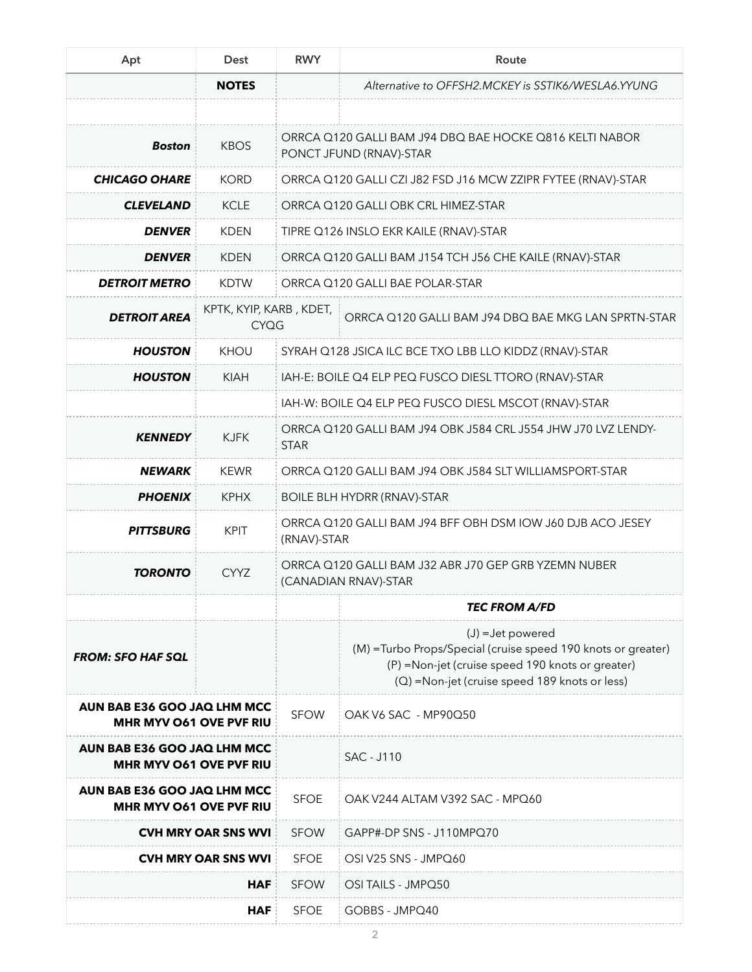| Apt                                                           | <b>Dest</b>                            | <b>RWY</b>                                                                         | Route                                                                                                                                                                                     |  |
|---------------------------------------------------------------|----------------------------------------|------------------------------------------------------------------------------------|-------------------------------------------------------------------------------------------------------------------------------------------------------------------------------------------|--|
|                                                               | <b>NOTES</b>                           |                                                                                    | Alternative to OFFSH2.MCKEY is SSTIK6/WESLA6.YYUNG                                                                                                                                        |  |
|                                                               |                                        |                                                                                    |                                                                                                                                                                                           |  |
| <b>Boston</b>                                                 | <b>KBOS</b>                            | ORRCA Q120 GALLI BAM J94 DBQ BAE HOCKE Q816 KELTI NABOR<br>PONCT JFUND (RNAV)-STAR |                                                                                                                                                                                           |  |
| <b>CHICAGO OHARE</b>                                          | <b>KORD</b>                            | ORRCA Q120 GALLI CZI J82 FSD J16 MCW ZZIPR FYTEE (RNAV)-STAR                       |                                                                                                                                                                                           |  |
| <b>CLEVELAND</b>                                              | <b>KCLE</b>                            | ORRCA Q120 GALLI OBK CRL HIMEZ-STAR                                                |                                                                                                                                                                                           |  |
| <b>DENVER</b>                                                 | <b>KDEN</b>                            | TIPRE Q126 INSLO EKR KAILE (RNAV)-STAR                                             |                                                                                                                                                                                           |  |
| <b>DENVER</b>                                                 | <b>KDEN</b>                            | ORRCA Q120 GALLI BAM J154 TCH J56 CHE KAILE (RNAV)-STAR                            |                                                                                                                                                                                           |  |
| <b>DETROIT METRO</b>                                          | <b>KDTW</b>                            | ORRCA Q120 GALLI BAE POLAR-STAR                                                    |                                                                                                                                                                                           |  |
| <b>DETROIT AREA</b>                                           | KPTK, KYIP, KARB, KDET,<br><b>CYQG</b> |                                                                                    | ORRCA Q120 GALLI BAM J94 DBQ BAE MKG LAN SPRTN-STAR                                                                                                                                       |  |
| <b>HOUSTON</b>                                                | <b>KHOU</b>                            | SYRAH Q128 JSICA ILC BCE TXO LBB LLO KIDDZ (RNAV)-STAR                             |                                                                                                                                                                                           |  |
| <b>HOUSTON</b>                                                | <b>KIAH</b>                            | IAH-E: BOILE Q4 ELP PEQ FUSCO DIESL TTORO (RNAV)-STAR                              |                                                                                                                                                                                           |  |
|                                                               |                                        | IAH-W: BOILE Q4 ELP PEQ FUSCO DIESL MSCOT (RNAV)-STAR                              |                                                                                                                                                                                           |  |
| <b>KENNEDY</b>                                                | <b>KJFK</b>                            | ORRCA Q120 GALLI BAM J94 OBK J584 CRL J554 JHW J70 LVZ LENDY-<br><b>STAR</b>       |                                                                                                                                                                                           |  |
| <b>NEWARK</b>                                                 | <b>KEWR</b>                            | ORRCA Q120 GALLI BAM J94 OBK J584 SLT WILLIAMSPORT-STAR                            |                                                                                                                                                                                           |  |
| <b>PHOENIX</b>                                                | <b>KPHX</b>                            | <b>BOILE BLH HYDRR (RNAV)-STAR</b>                                                 |                                                                                                                                                                                           |  |
| <b>PITTSBURG</b>                                              | <b>KPIT</b>                            | ORRCA Q120 GALLI BAM J94 BFF OBH DSM IOW J60 DJB ACO JESEY<br>(RNAV)-STAR          |                                                                                                                                                                                           |  |
| <b>TORONTO</b>                                                | <b>CYYZ</b>                            | ORRCA Q120 GALLI BAM J32 ABR J70 GEP GRB YZEMN NUBER<br>(CANADIAN RNAV)-STAR       |                                                                                                                                                                                           |  |
|                                                               |                                        |                                                                                    | <b>TEC FROM A/FD</b>                                                                                                                                                                      |  |
| <b>FROM: SFO HAF SQL</b>                                      |                                        |                                                                                    | $(J)$ = Jet powered<br>(M) = Turbo Props/Special (cruise speed 190 knots or greater)<br>(P) =Non-jet (cruise speed 190 knots or greater)<br>(Q) =Non-jet (cruise speed 189 knots or less) |  |
| AUN BAB E36 GOO JAQ LHM MCC<br>MHR MYV O61 OVE PVF RIU        |                                        | <b>SFOW</b>                                                                        | OAK V6 SAC - MP90Q50                                                                                                                                                                      |  |
| AUN BAB E36 GOO JAQ LHM MCC<br><b>MHR MYV O61 OVE PVF RIU</b> |                                        |                                                                                    | <b>SAC - J110</b>                                                                                                                                                                         |  |
| AUN BAB E36 GOO JAQ LHM MCC<br><b>MHR MYV O61 OVE PVF RIU</b> |                                        | <b>SFOE</b>                                                                        | OAK V244 ALTAM V392 SAC - MPQ60                                                                                                                                                           |  |
| <b>CVH MRY OAR SNS WVI</b>                                    |                                        | <b>SFOW</b>                                                                        | GAPP#-DP SNS - J110MPQ70                                                                                                                                                                  |  |
| <b>CVH MRY OAR SNS WVI</b>                                    |                                        | <b>SFOE</b>                                                                        | OSI V25 SNS - JMPQ60                                                                                                                                                                      |  |
| HAF                                                           |                                        | <b>SFOW</b>                                                                        | OSI TAILS - JMPQ50                                                                                                                                                                        |  |
|                                                               | <b>HAF</b>                             | <b>SFOE</b>                                                                        | GOBBS - JMPQ40                                                                                                                                                                            |  |